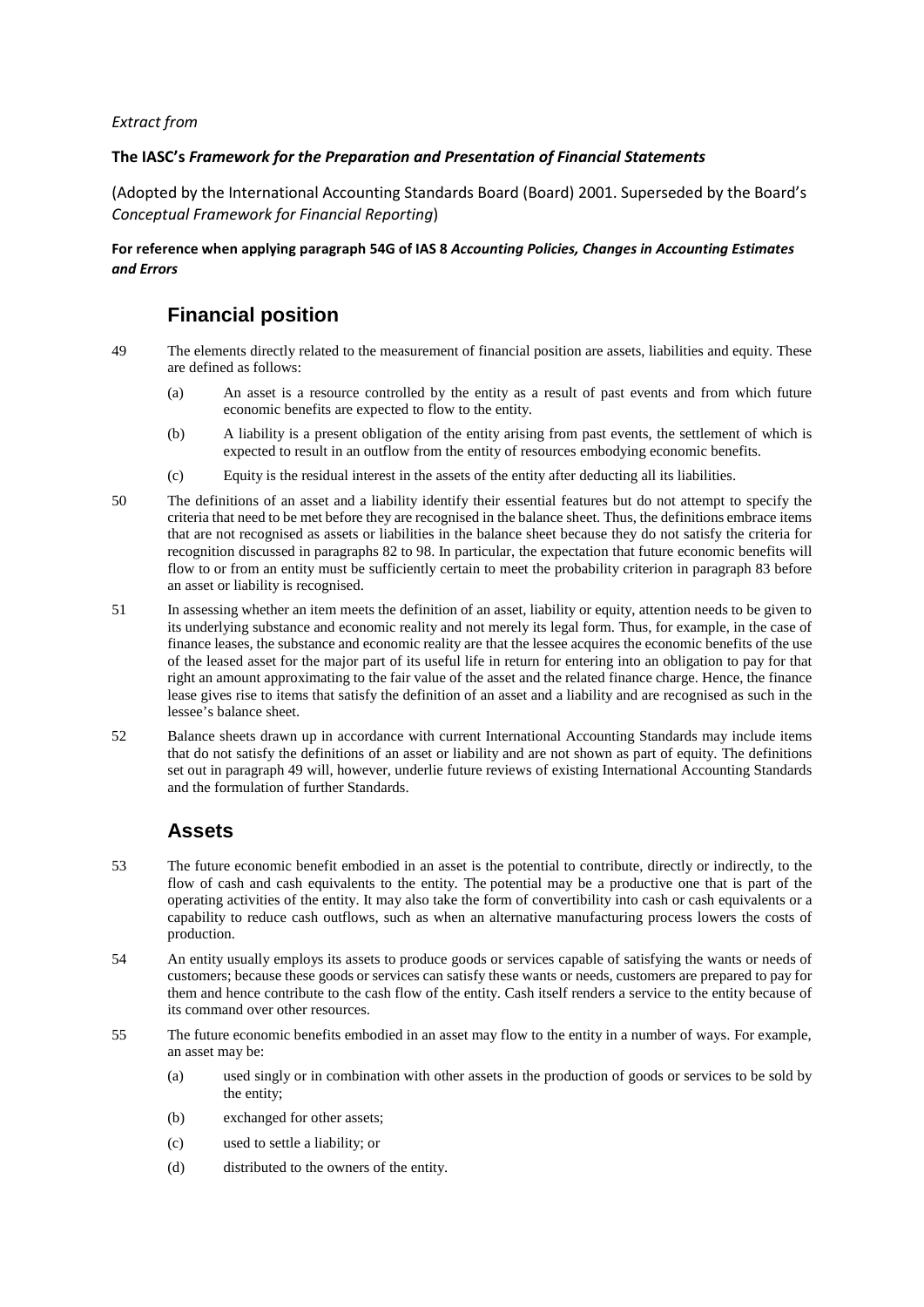#### *Extract from*

#### **The IASC's** *Framework for the Preparation and Presentation of Financial Statements*

(Adopted by the International Accounting Standards Board (Board) 2001. Superseded by the Board's *Conceptual Framework for Financial Reporting*)

#### **For reference when applying paragraph 54G of IAS 8** *Accounting Policies, Changes in Accounting Estimates and Errors*

## **Financial position**

- 49 The elements directly related to the measurement of financial position are assets, liabilities and equity. These are defined as follows:
	- (a) An asset is a resource controlled by the entity as a result of past events and from which future economic benefits are expected to flow to the entity.
	- (b) A liability is a present obligation of the entity arising from past events, the settlement of which is expected to result in an outflow from the entity of resources embodying economic benefits.
	- (c) Equity is the residual interest in the assets of the entity after deducting all its liabilities.
- 50 The definitions of an asset and a liability identify their essential features but do not attempt to specify the criteria that need to be met before they are recognised in the balance sheet. Thus, the definitions embrace items that are not recognised as assets or liabilities in the balance sheet because they do not satisfy the criteria for recognition discussed in paragraphs 82 to 98. In particular, the expectation that future economic benefits will flow to or from an entity must be sufficiently certain to meet the probability criterion in paragraph 83 before an asset or liability is recognised.
- 51 In assessing whether an item meets the definition of an asset, liability or equity, attention needs to be given to its underlying substance and economic reality and not merely its legal form. Thus, for example, in the case of finance leases, the substance and economic reality are that the lessee acquires the economic benefits of the use of the leased asset for the major part of its useful life in return for entering into an obligation to pay for that right an amount approximating to the fair value of the asset and the related finance charge. Hence, the finance lease gives rise to items that satisfy the definition of an asset and a liability and are recognised as such in the lessee's balance sheet.
- 52 Balance sheets drawn up in accordance with current International Accounting Standards may include items that do not satisfy the definitions of an asset or liability and are not shown as part of equity. The definitions set out in paragraph 49 will, however, underlie future reviews of existing International Accounting Standards and the formulation of further Standards.

### **Assets**

- 53 The future economic benefit embodied in an asset is the potential to contribute, directly or indirectly, to the flow of cash and cash equivalents to the entity. The potential may be a productive one that is part of the operating activities of the entity. It may also take the form of convertibility into cash or cash equivalents or a capability to reduce cash outflows, such as when an alternative manufacturing process lowers the costs of production.
- 54 An entity usually employs its assets to produce goods or services capable of satisfying the wants or needs of customers; because these goods or services can satisfy these wants or needs, customers are prepared to pay for them and hence contribute to the cash flow of the entity. Cash itself renders a service to the entity because of its command over other resources.
- 55 The future economic benefits embodied in an asset may flow to the entity in a number of ways. For example, an asset may be:
	- (a) used singly or in combination with other assets in the production of goods or services to be sold by the entity;
	- (b) exchanged for other assets;
	- (c) used to settle a liability; or
	- (d) distributed to the owners of the entity.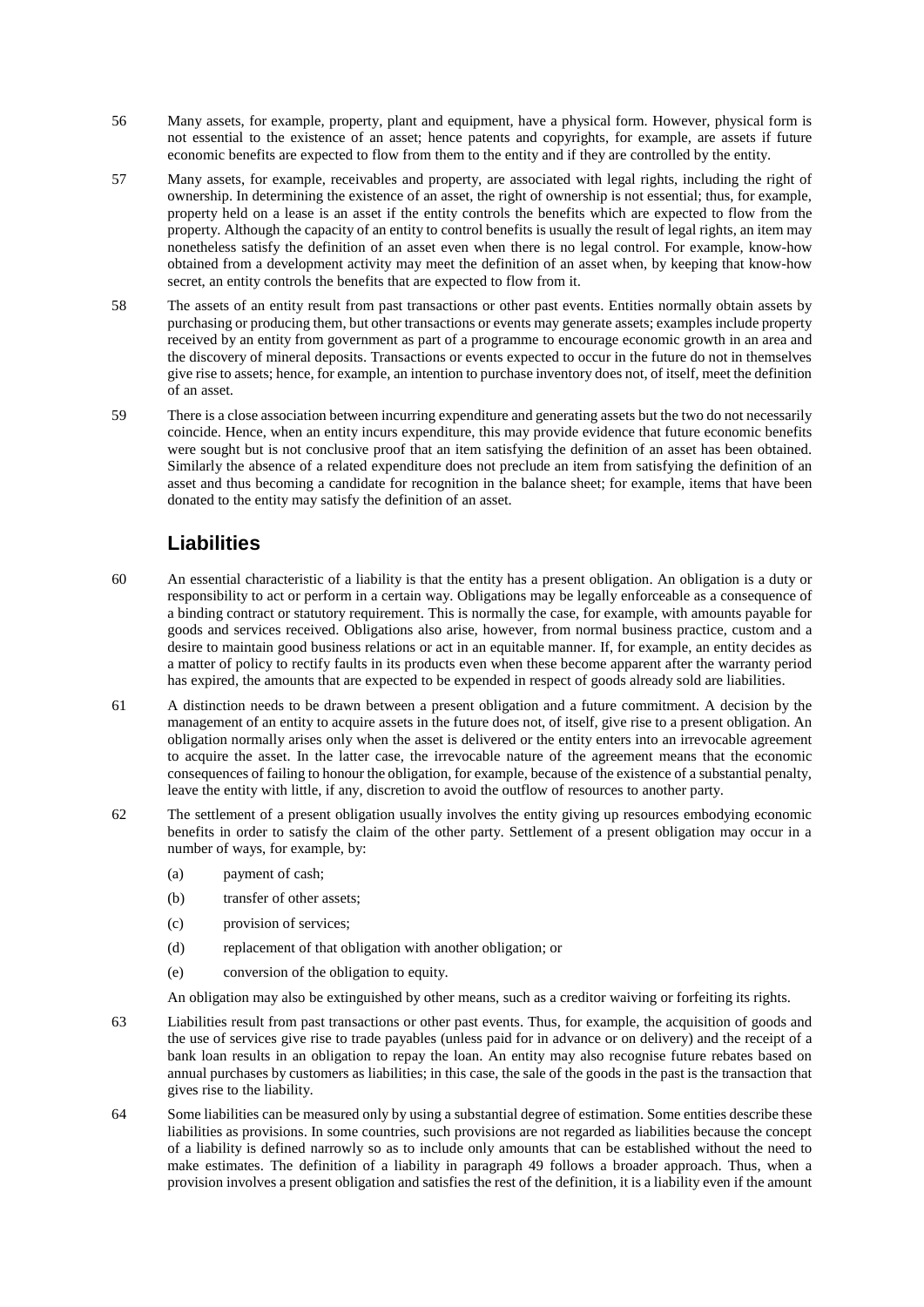- 56 Many assets, for example, property, plant and equipment, have a physical form. However, physical form is not essential to the existence of an asset; hence patents and copyrights, for example, are assets if future economic benefits are expected to flow from them to the entity and if they are controlled by the entity.
- 57 Many assets, for example, receivables and property, are associated with legal rights, including the right of ownership. In determining the existence of an asset, the right of ownership is not essential; thus, for example, property held on a lease is an asset if the entity controls the benefits which are expected to flow from the property. Although the capacity of an entity to control benefits is usually the result of legal rights, an item may nonetheless satisfy the definition of an asset even when there is no legal control. For example, know-how obtained from a development activity may meet the definition of an asset when, by keeping that know-how secret, an entity controls the benefits that are expected to flow from it.
- 58 The assets of an entity result from past transactions or other past events. Entities normally obtain assets by purchasing or producing them, but other transactions or events may generate assets; examples include property received by an entity from government as part of a programme to encourage economic growth in an area and the discovery of mineral deposits. Transactions or events expected to occur in the future do not in themselves give rise to assets; hence, for example, an intention to purchase inventory does not, of itself, meet the definition of an asset.
- 59 There is a close association between incurring expenditure and generating assets but the two do not necessarily coincide. Hence, when an entity incurs expenditure, this may provide evidence that future economic benefits were sought but is not conclusive proof that an item satisfying the definition of an asset has been obtained. Similarly the absence of a related expenditure does not preclude an item from satisfying the definition of an asset and thus becoming a candidate for recognition in the balance sheet; for example, items that have been donated to the entity may satisfy the definition of an asset.

## **Liabilities**

- 60 An essential characteristic of a liability is that the entity has a present obligation. An obligation is a duty or responsibility to act or perform in a certain way. Obligations may be legally enforceable as a consequence of a binding contract or statutory requirement. This is normally the case, for example, with amounts payable for goods and services received. Obligations also arise, however, from normal business practice, custom and a desire to maintain good business relations or act in an equitable manner. If, for example, an entity decides as a matter of policy to rectify faults in its products even when these become apparent after the warranty period has expired, the amounts that are expected to be expended in respect of goods already sold are liabilities.
- 61 A distinction needs to be drawn between a present obligation and a future commitment. A decision by the management of an entity to acquire assets in the future does not, of itself, give rise to a present obligation. An obligation normally arises only when the asset is delivered or the entity enters into an irrevocable agreement to acquire the asset. In the latter case, the irrevocable nature of the agreement means that the economic consequences of failing to honour the obligation, for example, because of the existence of a substantial penalty, leave the entity with little, if any, discretion to avoid the outflow of resources to another party.
- 62 The settlement of a present obligation usually involves the entity giving up resources embodying economic benefits in order to satisfy the claim of the other party. Settlement of a present obligation may occur in a number of ways, for example, by:
	- (a) payment of cash;
	- (b) transfer of other assets;
	- (c) provision of services;
	- (d) replacement of that obligation with another obligation; or
	- (e) conversion of the obligation to equity.

An obligation may also be extinguished by other means, such as a creditor waiving or forfeiting its rights.

- 63 Liabilities result from past transactions or other past events. Thus, for example, the acquisition of goods and the use of services give rise to trade payables (unless paid for in advance or on delivery) and the receipt of a bank loan results in an obligation to repay the loan. An entity may also recognise future rebates based on annual purchases by customers as liabilities; in this case, the sale of the goods in the past is the transaction that gives rise to the liability.
- 64 Some liabilities can be measured only by using a substantial degree of estimation. Some entities describe these liabilities as provisions. In some countries, such provisions are not regarded as liabilities because the concept of a liability is defined narrowly so as to include only amounts that can be established without the need to make estimates. The definition of a liability in paragraph 49 follows a broader approach. Thus, when a provision involves a present obligation and satisfies the rest of the definition, it is a liability even if the amount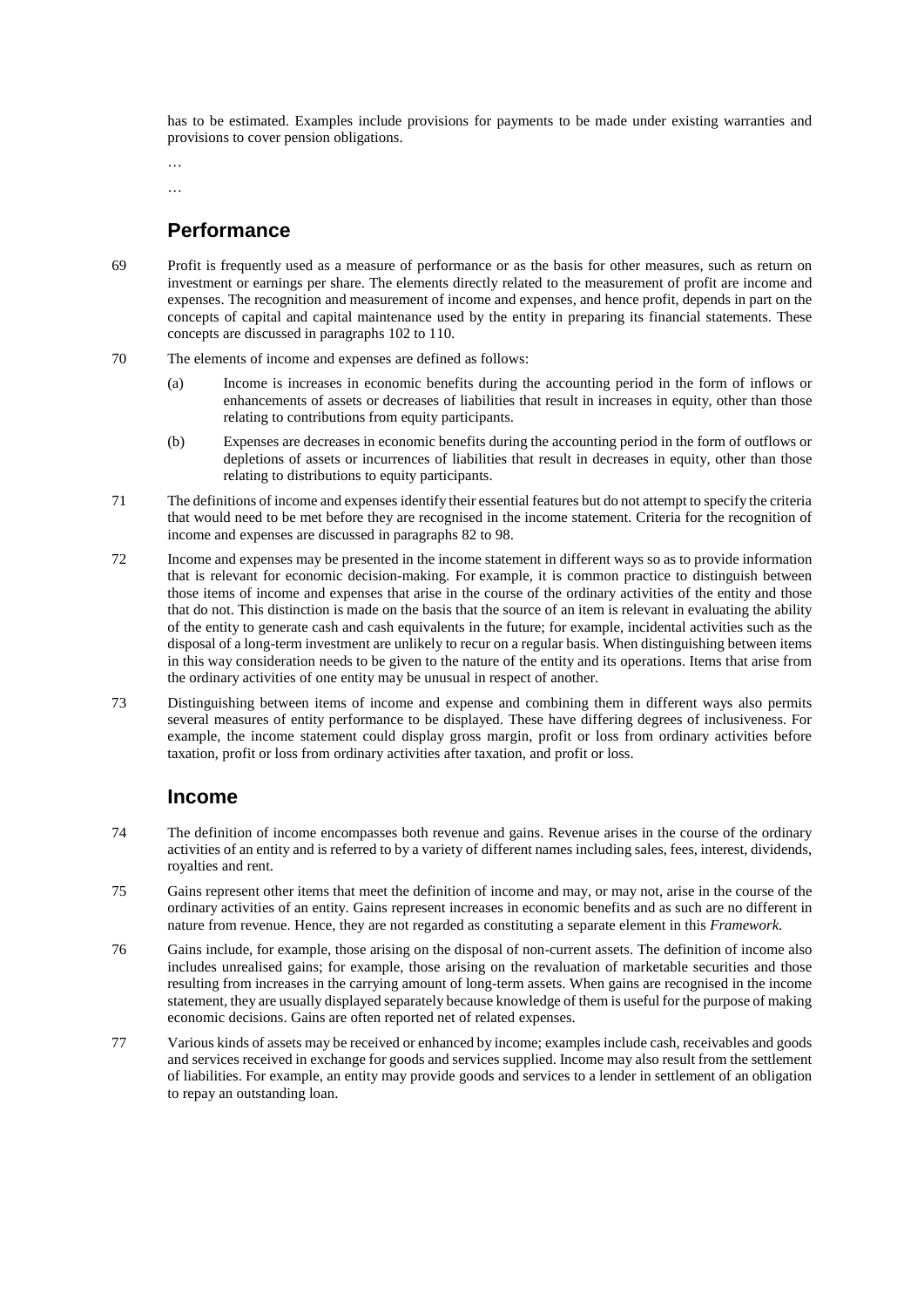has to be estimated. Examples include provisions for payments to be made under existing warranties and provisions to cover pension obligations.

… …

## **Performance**

- 69 Profit is frequently used as a measure of performance or as the basis for other measures, such as return on investment or earnings per share. The elements directly related to the measurement of profit are income and expenses. The recognition and measurement of income and expenses, and hence profit, depends in part on the concepts of capital and capital maintenance used by the entity in preparing its financial statements. These concepts are discussed in paragraphs 102 to 110.
- 70 The elements of income and expenses are defined as follows:
	- (a) Income is increases in economic benefits during the accounting period in the form of inflows or enhancements of assets or decreases of liabilities that result in increases in equity, other than those relating to contributions from equity participants.
	- (b) Expenses are decreases in economic benefits during the accounting period in the form of outflows or depletions of assets or incurrences of liabilities that result in decreases in equity, other than those relating to distributions to equity participants.
- 71 The definitions of income and expenses identify their essential features but do not attempt to specify the criteria that would need to be met before they are recognised in the income statement. Criteria for the recognition of income and expenses are discussed in paragraphs 82 to 98.
- 72 Income and expenses may be presented in the income statement in different ways so as to provide information that is relevant for economic decision-making. For example, it is common practice to distinguish between those items of income and expenses that arise in the course of the ordinary activities of the entity and those that do not. This distinction is made on the basis that the source of an item is relevant in evaluating the ability of the entity to generate cash and cash equivalents in the future; for example, incidental activities such as the disposal of a long-term investment are unlikely to recur on a regular basis. When distinguishing between items in this way consideration needs to be given to the nature of the entity and its operations. Items that arise from the ordinary activities of one entity may be unusual in respect of another.
- 73 Distinguishing between items of income and expense and combining them in different ways also permits several measures of entity performance to be displayed. These have differing degrees of inclusiveness. For example, the income statement could display gross margin, profit or loss from ordinary activities before taxation, profit or loss from ordinary activities after taxation, and profit or loss.

#### **Income**

- 74 The definition of income encompasses both revenue and gains. Revenue arises in the course of the ordinary activities of an entity and is referred to by a variety of different names including sales, fees, interest, dividends, royalties and rent.
- 75 Gains represent other items that meet the definition of income and may, or may not, arise in the course of the ordinary activities of an entity. Gains represent increases in economic benefits and as such are no different in nature from revenue. Hence, they are not regarded as constituting a separate element in this *Framework*.
- 76 Gains include, for example, those arising on the disposal of non-current assets. The definition of income also includes unrealised gains; for example, those arising on the revaluation of marketable securities and those resulting from increases in the carrying amount of long-term assets. When gains are recognised in the income statement, they are usually displayed separately because knowledge of them is useful for the purpose of making economic decisions. Gains are often reported net of related expenses.
- 77 Various kinds of assets may be received or enhanced by income; examples include cash, receivables and goods and services received in exchange for goods and services supplied. Income may also result from the settlement of liabilities. For example, an entity may provide goods and services to a lender in settlement of an obligation to repay an outstanding loan.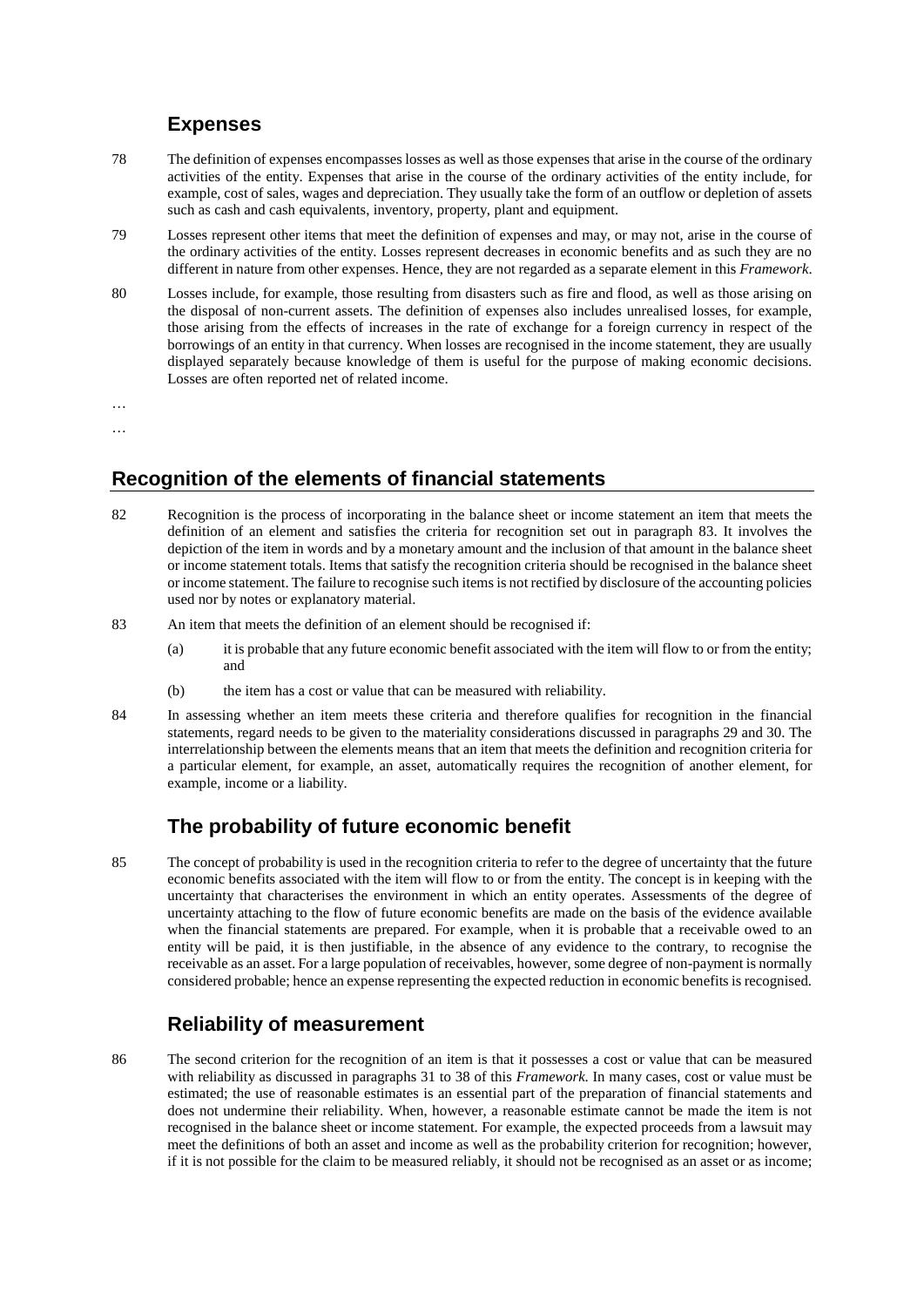### **Expenses**

- 78 The definition of expenses encompasses losses as well as those expenses that arise in the course of the ordinary activities of the entity. Expenses that arise in the course of the ordinary activities of the entity include, for example, cost of sales, wages and depreciation. They usually take the form of an outflow or depletion of assets such as cash and cash equivalents, inventory, property, plant and equipment.
- 79 Losses represent other items that meet the definition of expenses and may, or may not, arise in the course of the ordinary activities of the entity. Losses represent decreases in economic benefits and as such they are no different in nature from other expenses. Hence, they are not regarded as a separate element in this *Framework*.
- 80 Losses include, for example, those resulting from disasters such as fire and flood, as well as those arising on the disposal of non-current assets. The definition of expenses also includes unrealised losses, for example, those arising from the effects of increases in the rate of exchange for a foreign currency in respect of the borrowings of an entity in that currency. When losses are recognised in the income statement, they are usually displayed separately because knowledge of them is useful for the purpose of making economic decisions. Losses are often reported net of related income.

…

…

# **Recognition of the elements of financial statements**

- 82 Recognition is the process of incorporating in the balance sheet or income statement an item that meets the definition of an element and satisfies the criteria for recognition set out in paragraph 83. It involves the depiction of the item in words and by a monetary amount and the inclusion of that amount in the balance sheet or income statement totals. Items that satisfy the recognition criteria should be recognised in the balance sheet or income statement. The failure to recognise such items is not rectified by disclosure of the accounting policies used nor by notes or explanatory material.
- 83 An item that meets the definition of an element should be recognised if:
	- (a) it is probable that any future economic benefit associated with the item will flow to or from the entity; and
	- (b) the item has a cost or value that can be measured with reliability.
- 84 In assessing whether an item meets these criteria and therefore qualifies for recognition in the financial statements, regard needs to be given to the materiality considerations discussed in paragraphs 29 and 30. The interrelationship between the elements means that an item that meets the definition and recognition criteria for a particular element, for example, an asset, automatically requires the recognition of another element, for example, income or a liability.

# **The probability of future economic benefit**

85 The concept of probability is used in the recognition criteria to refer to the degree of uncertainty that the future economic benefits associated with the item will flow to or from the entity. The concept is in keeping with the uncertainty that characterises the environment in which an entity operates. Assessments of the degree of uncertainty attaching to the flow of future economic benefits are made on the basis of the evidence available when the financial statements are prepared. For example, when it is probable that a receivable owed to an entity will be paid, it is then justifiable, in the absence of any evidence to the contrary, to recognise the receivable as an asset. For a large population of receivables, however, some degree of non-payment is normally considered probable; hence an expense representing the expected reduction in economic benefits is recognised.

# **Reliability of measurement**

86 The second criterion for the recognition of an item is that it possesses a cost or value that can be measured with reliability as discussed in paragraphs 31 to 38 of this *Framework*. In many cases, cost or value must be estimated; the use of reasonable estimates is an essential part of the preparation of financial statements and does not undermine their reliability. When, however, a reasonable estimate cannot be made the item is not recognised in the balance sheet or income statement. For example, the expected proceeds from a lawsuit may meet the definitions of both an asset and income as well as the probability criterion for recognition; however, if it is not possible for the claim to be measured reliably, it should not be recognised as an asset or as income;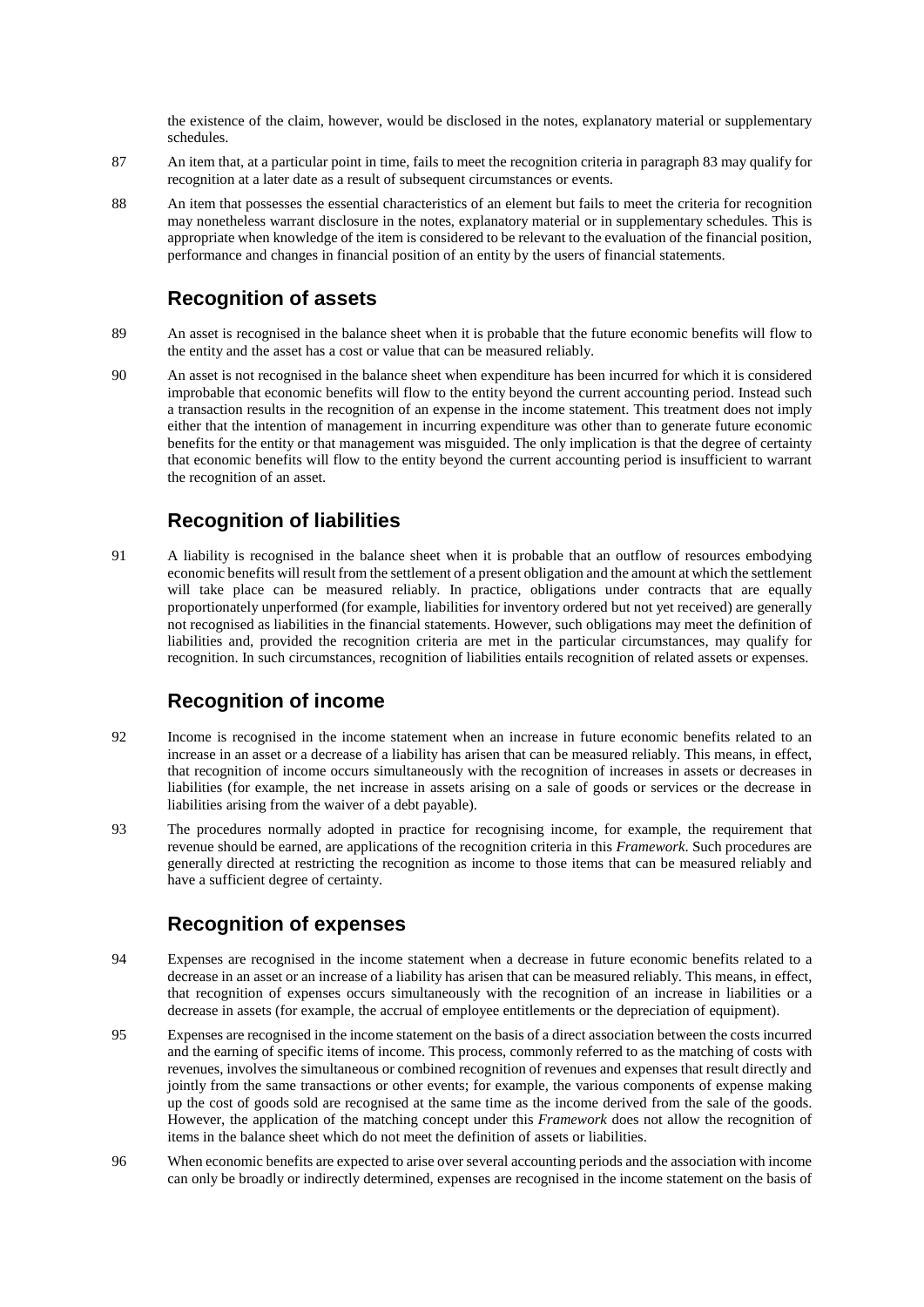the existence of the claim, however, would be disclosed in the notes, explanatory material or supplementary schedules.

- 87 An item that, at a particular point in time, fails to meet the recognition criteria in paragraph 83 may qualify for recognition at a later date as a result of subsequent circumstances or events.
- 88 An item that possesses the essential characteristics of an element but fails to meet the criteria for recognition may nonetheless warrant disclosure in the notes, explanatory material or in supplementary schedules. This is appropriate when knowledge of the item is considered to be relevant to the evaluation of the financial position, performance and changes in financial position of an entity by the users of financial statements.

## **Recognition of assets**

- 89 An asset is recognised in the balance sheet when it is probable that the future economic benefits will flow to the entity and the asset has a cost or value that can be measured reliably.
- 90 An asset is not recognised in the balance sheet when expenditure has been incurred for which it is considered improbable that economic benefits will flow to the entity beyond the current accounting period. Instead such a transaction results in the recognition of an expense in the income statement. This treatment does not imply either that the intention of management in incurring expenditure was other than to generate future economic benefits for the entity or that management was misguided. The only implication is that the degree of certainty that economic benefits will flow to the entity beyond the current accounting period is insufficient to warrant the recognition of an asset.

## **Recognition of liabilities**

91 A liability is recognised in the balance sheet when it is probable that an outflow of resources embodying economic benefits will result from the settlement of a present obligation and the amount at which the settlement will take place can be measured reliably. In practice, obligations under contracts that are equally proportionately unperformed (for example, liabilities for inventory ordered but not yet received) are generally not recognised as liabilities in the financial statements. However, such obligations may meet the definition of liabilities and, provided the recognition criteria are met in the particular circumstances, may qualify for recognition. In such circumstances, recognition of liabilities entails recognition of related assets or expenses.

## **Recognition of income**

- 92 Income is recognised in the income statement when an increase in future economic benefits related to an increase in an asset or a decrease of a liability has arisen that can be measured reliably. This means, in effect, that recognition of income occurs simultaneously with the recognition of increases in assets or decreases in liabilities (for example, the net increase in assets arising on a sale of goods or services or the decrease in liabilities arising from the waiver of a debt payable).
- 93 The procedures normally adopted in practice for recognising income, for example, the requirement that revenue should be earned, are applications of the recognition criteria in this *Framework*. Such procedures are generally directed at restricting the recognition as income to those items that can be measured reliably and have a sufficient degree of certainty.

## **Recognition of expenses**

- 94 Expenses are recognised in the income statement when a decrease in future economic benefits related to a decrease in an asset or an increase of a liability has arisen that can be measured reliably. This means, in effect, that recognition of expenses occurs simultaneously with the recognition of an increase in liabilities or a decrease in assets (for example, the accrual of employee entitlements or the depreciation of equipment).
- 95 Expenses are recognised in the income statement on the basis of a direct association between the costs incurred and the earning of specific items of income. This process, commonly referred to as the matching of costs with revenues, involves the simultaneous or combined recognition of revenues and expenses that result directly and jointly from the same transactions or other events; for example, the various components of expense making up the cost of goods sold are recognised at the same time as the income derived from the sale of the goods. However, the application of the matching concept under this *Framework* does not allow the recognition of items in the balance sheet which do not meet the definition of assets or liabilities.
- 96 When economic benefits are expected to arise over several accounting periods and the association with income can only be broadly or indirectly determined, expenses are recognised in the income statement on the basis of